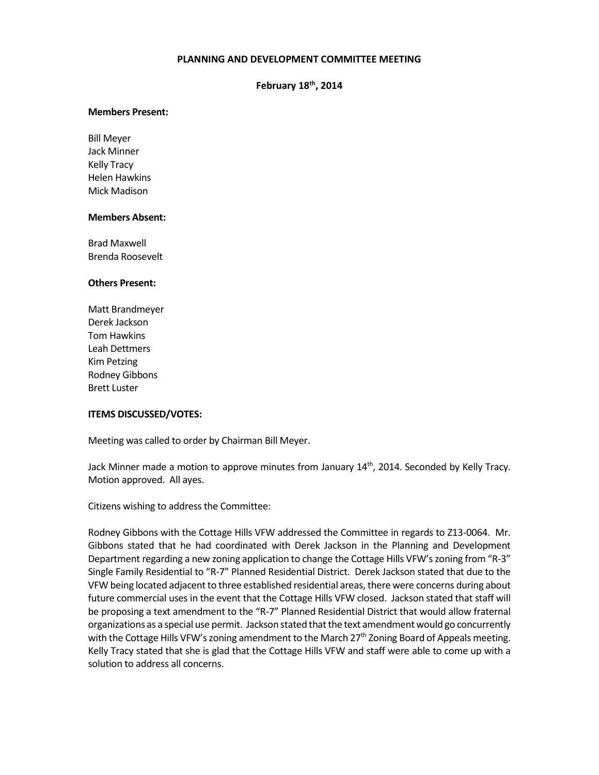# **PLANNING AND DEVELOPMENT COMMITTEE MEETING**

# **February 18th, 2014**

#### **Members Present:**

Bill Meyer Jack Minner Kelly Tracy Helen Hawkins Mick Madison

#### **Members Absent:**

Brad Maxwell Brenda Roosevelt

#### **Others Present:**

Matt Brandmeyer Derek Jackson Tom Hawkins Leah Dettmers Kim Petzing Rodney Gibbons Brett Luster

### **ITEMS DISCUSSED/VOTES:**

Meeting was called to order by Chairman Bill Meyer.

Jack Minner made a motion to approve minutes from January  $14^{\text{th}}$ , 2014. Seconded by Kelly Tracy. Motion approved. All ayes.

Citizens wishing to address the Committee:

Rodney Gibbons with the Cottage Hills VFW addressed the Committee in regards to Z13-0064. Mr. Gibbons stated that he had coordinated with Derek Jackson in the Planning and Development Department regarding a new zoning application to change the Cottage Hills VFW's zoning from "R-3" Single Family Residential to "R-7" Planned Residential District. Derek Jackson stated that due to the VFW being located adjacent to three established residential areas, there were concerns during about future commercial uses in the event that the Cottage Hills VFW closed. Jackson stated that staff will be proposing a text amendment to the "R-7" Planned Residential District that would allow fraternal organizations as a special use permit. Jackson stated that the text amendment would go concurrently with the Cottage Hills VFW's zoning amendment to the March 27<sup>th</sup> Zoning Board of Appeals meeting. Kelly Tracy stated that she is glad that the Cottage Hills VFW and staff were able to come up with a solution to address all concerns.